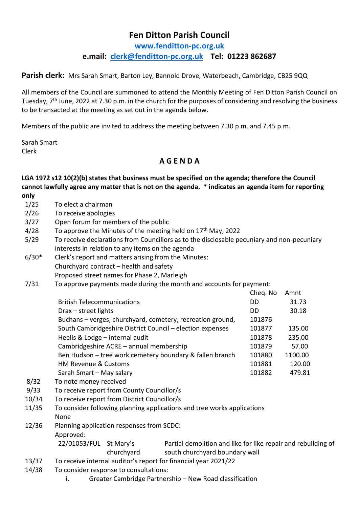## **Fen Ditton Parish Council**

**[www.fenditton-pc.org.uk](http://www.fenditton-pc.org.uk/) e.mail: [clerk@fenditton-pc.org.uk](mailto:clerk@fenditton-pc.org.uk) Tel: 01223 862687**

Parish clerk: Mrs Sarah Smart, Barton Ley, Bannold Drove, Waterbeach, Cambridge, CB25 9QQ

All members of the Council are summoned to attend the Monthly Meeting of Fen Ditton Parish Council on Tuesday, 7th June, 2022 at 7.30 p.m. in the church for the purposes of considering and resolving the business to be transacted at the meeting as set out in the agenda below.

Members of the public are invited to address the meeting between 7.30 p.m. and 7.45 p.m.

Sarah Smart Clerk

## **A G E N D A**

**LGA 1972 s12 10(2)(b) states that business must be specified on the agenda; therefore the Council cannot lawfully agree any matter that is not on the agenda. \* indicates an agenda item for reporting only**

- 1/25 To elect a chairman
- 2/26 To receive apologies
- 3/27 Open forum for members of the public
- $4/28$  To approve the Minutes of the meeting held on  $17<sup>th</sup>$  May, 2022
- 5/29 To receive declarations from Councillors as to the disclosable pecuniary and non-pecuniary interests in relation to any items on the agenda
- 6/30\* Clerk's report and matters arising from the Minutes: Churchyard contract – health and safety Proposed street names for Phase 2, Marleigh
- 7/31 To approve payments made during the month and accounts for payment:

|                                                            | Cheq. No | Amnt    |
|------------------------------------------------------------|----------|---------|
| <b>British Telecommunications</b>                          | DD       | 31.73   |
| $Draw - street$ lights                                     | DD.      | 30.18   |
| Buchans - verges, churchyard, cemetery, recreation ground, | 101876   |         |
| South Cambridgeshire District Council - election expenses  | 101877   | 135.00  |
| Heelis & Lodge - internal audit                            | 101878   | 235.00  |
| Cambridgeshire ACRE - annual membership                    | 101879   | 57.00   |
| Ben Hudson - tree work cemetery boundary & fallen branch   | 101880   | 1100.00 |
| <b>HM Revenue &amp; Customs</b>                            | 101881   | 120.00  |
| Sarah Smart - May salary                                   | 101882   | 479.81  |

- 8/32 To note money received
- 9/33 To receive report from County Councillor/s
- 10/34 To receive report from District Councillor/s
- 11/35 To consider following planning applications and tree works applications None
- 12/36 Planning application responses from SCDC: Approved: 22/01053/FUL St Mary's Partial demolition and like for like repair and rebuilding of
	- churchyard south churchyard boundary wall
- 13/37 To receive internal auditor's report for financial year 2021/22
- 14/38 To consider response to consultations:
	- i. Greater Cambridge Partnership New Road classification